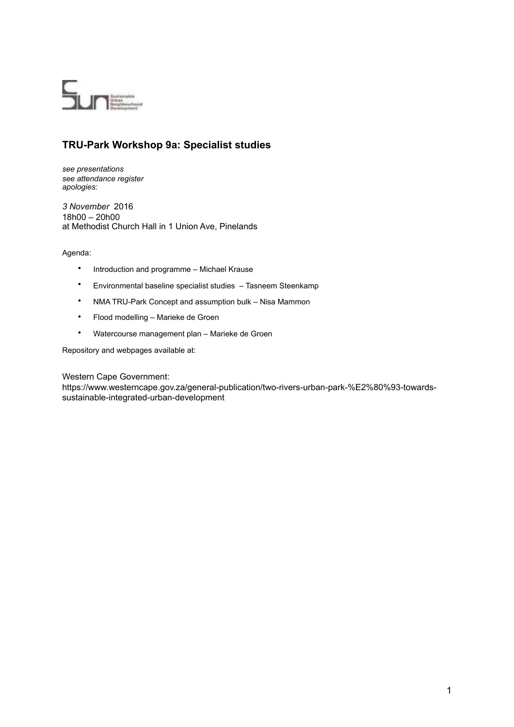

# **TRU-Park Workshop 9a: Specialist studies**

*see presentations see attendance register apologies:* 

*3 November* 2016 18h00 – 20h00 at Methodist Church Hall in 1 Union Ave, Pinelands

# Agenda:

- Introduction and programme Michael Krause
- Environmental baseline specialist studies Tasneem Steenkamp
- NMA TRU-Park Concept and assumption bulk Nisa Mammon
- Flood modelling Marieke de Groen
- Watercourse management plan Marieke de Groen

Repository and webpages available at:

Western Cape Government:

[https://www.westerncape.gov.za/general-publication/two-rivers-urban-park-%E2%80%93-towards](https://www.westerncape.gov.za/general-publication/two-rivers-urban-park-%2525E2%252580%252593-towards-sustainable-integrated-urban-development)sustainable-integrated-urban-development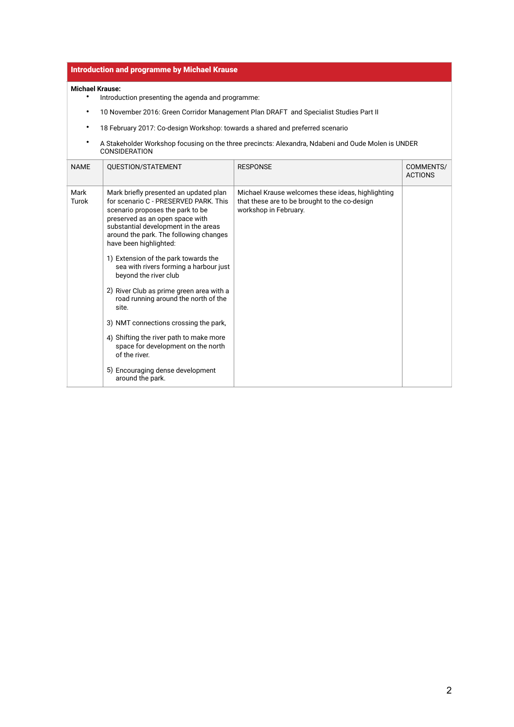# Introduction and programme by Michael Krause

### **Michael Krause:**

- Introduction presenting the agenda and programme:
- 10 November 2016: Green Corridor Management Plan DRAFT and Specialist Studies Part II
- 18 February 2017: Co-design Workshop: towards a shared and preferred scenario
- A Stakeholder Workshop focusing on the three precincts: Alexandra, Ndabeni and Oude Molen is UNDER CONSIDERATION

| <b>NAME</b>   | QUESTION/STATEMENT                                                                                                                                                                                                                                                 | <b>RESPONSE</b>                                                                                                             | COMMENTS/<br><b>ACTIONS</b> |
|---------------|--------------------------------------------------------------------------------------------------------------------------------------------------------------------------------------------------------------------------------------------------------------------|-----------------------------------------------------------------------------------------------------------------------------|-----------------------------|
| Mark<br>Turok | Mark briefly presented an updated plan<br>for scenario C - PRESERVED PARK. This<br>scenario proposes the park to be<br>preserved as an open space with<br>substantial development in the areas<br>around the park. The following changes<br>have been highlighted: | Michael Krause welcomes these ideas, highlighting<br>that these are to be brought to the co-design<br>workshop in February. |                             |
|               | 1) Extension of the park towards the<br>sea with rivers forming a harbour just<br>beyond the river club                                                                                                                                                            |                                                                                                                             |                             |
|               | 2) River Club as prime green area with a<br>road running around the north of the<br>site.                                                                                                                                                                          |                                                                                                                             |                             |
|               | 3) NMT connections crossing the park,                                                                                                                                                                                                                              |                                                                                                                             |                             |
|               | 4) Shifting the river path to make more<br>space for development on the north<br>of the river.                                                                                                                                                                     |                                                                                                                             |                             |
|               | 5) Encouraging dense development<br>around the park.                                                                                                                                                                                                               |                                                                                                                             |                             |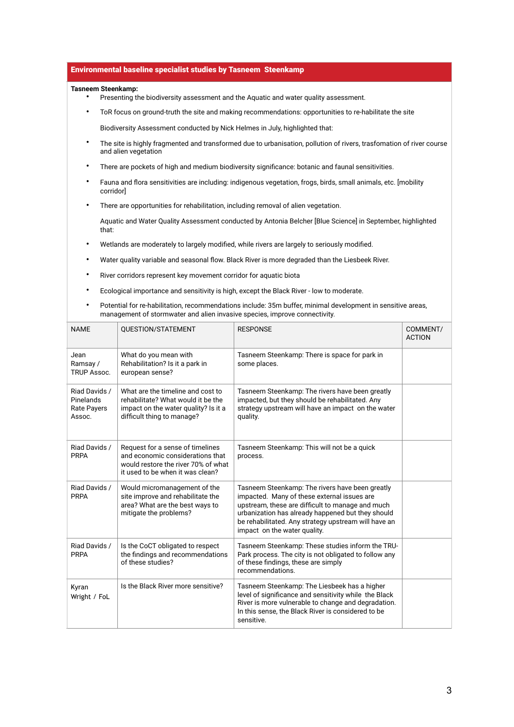#### Environmental baseline specialist studies by Tasneem Steenkamp

#### **Tasneem Steenkamp:**

- Presenting the biodiversity assessment and the Aquatic and water quality assessment.
- ToR focus on ground-truth the site and making recommendations: opportunities to re-habilitate the site Biodiversity Assessment conducted by Nick Helmes in July, highlighted that:
- The site is highly fragmented and transformed due to urbanisation, pollution of rivers, trasfomation of river course and alien vegetation
- There are pockets of high and medium biodiversity significance: botanic and faunal sensitivities.
- Fauna and flora sensitivities are including: indigenous vegetation, frogs, birds, small animals, etc. [mobility corridor]
- There are opportunities for rehabilitation, including removal of alien vegetation.

Aquatic and Water Quality Assessment conducted by Antonia Belcher [Blue Science] in September, highlighted that:

- Wetlands are moderately to largely modified, while rivers are largely to seriously modified.
- Water quality variable and seasonal flow. Black River is more degraded than the Liesbeek River.
- River corridors represent key movement corridor for aquatic biota
- Ecological importance and sensitivity is high, except the Black River low to moderate.
- Potential for re-habilitation, recommendations include: 35m buffer, minimal development in sensitive areas, management of stormwater and alien invasive species, improve connectivity.

| <b>NAME</b>                                                | QUESTION/STATEMENT                                                                                                                              | <b>RESPONSE</b>                                                                                                                                                                                                                                                                                 | COMMENT/<br><b>ACTION</b> |
|------------------------------------------------------------|-------------------------------------------------------------------------------------------------------------------------------------------------|-------------------------------------------------------------------------------------------------------------------------------------------------------------------------------------------------------------------------------------------------------------------------------------------------|---------------------------|
| Jean<br>Ramsay /<br><b>TRUP Assoc.</b>                     | What do you mean with<br>Rehabilitation? Is it a park in<br>european sense?                                                                     | Tasneem Steenkamp: There is space for park in<br>some places.                                                                                                                                                                                                                                   |                           |
| Riad Davids /<br>Pinelands<br><b>Rate Payers</b><br>Assoc. | What are the timeline and cost to<br>rehabilitate? What would it be the<br>impact on the water quality? Is it a<br>difficult thing to manage?   | Tasneem Steenkamp: The rivers have been greatly<br>impacted, but they should be rehabilitated. Any<br>strategy upstream will have an impact on the water<br>quality.                                                                                                                            |                           |
| Riad Davids /<br><b>PRPA</b>                               | Request for a sense of timelines<br>and economic considerations that<br>would restore the river 70% of what<br>it used to be when it was clean? | Tasneem Steenkamp: This will not be a quick<br>process.                                                                                                                                                                                                                                         |                           |
| Riad Davids /<br><b>PRPA</b>                               | Would micromanagement of the<br>site improve and rehabilitate the<br>area? What are the best ways to<br>mitigate the problems?                  | Tasneem Steenkamp: The rivers have been greatly<br>impacted. Many of these external issues are<br>upstream, these are difficult to manage and much<br>urbanization has already happened but they should<br>be rehabilitated. Any strategy upstream will have an<br>impact on the water quality. |                           |
| Riad Davids /<br><b>PRPA</b>                               | Is the CoCT obligated to respect<br>the findings and recommendations<br>of these studies?                                                       | Tasneem Steenkamp: These studies inform the TRU-<br>Park process. The city is not obligated to follow any<br>of these findings, these are simply<br>recommendations.                                                                                                                            |                           |
| Kyran<br>Wright / FoL                                      | Is the Black River more sensitive?                                                                                                              | Tasneem Steenkamp: The Liesbeek has a higher<br>level of significance and sensitivity while the Black<br>River is more vulnerable to change and degradation.<br>In this sense, the Black River is considered to be<br>sensitive.                                                                |                           |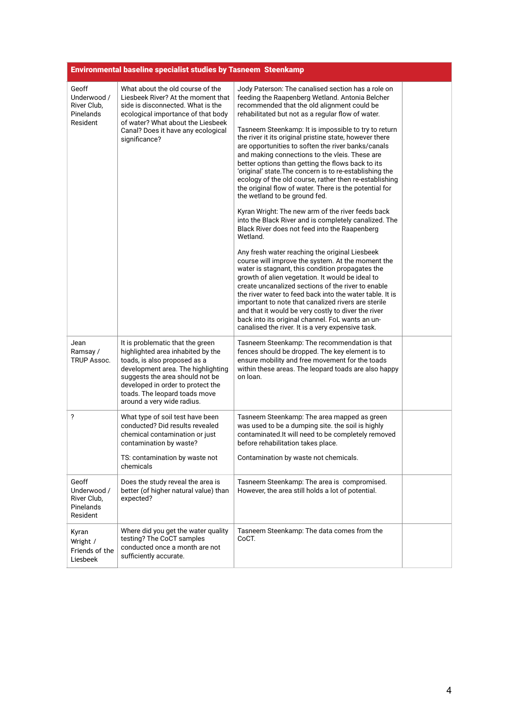|                                                              | <b>Environmental baseline specialist studies by Tasneem Steenkamp</b>                                                                                                                                                                                                              |                                                                                                                                                                                                                                                                                                                                                                                                                                                                                                                                                                                                                                                                                                                                                                                                                                                                                                                                                                                                                                                                                                                                                                                                                                                                                                                                                                                                                                              |  |
|--------------------------------------------------------------|------------------------------------------------------------------------------------------------------------------------------------------------------------------------------------------------------------------------------------------------------------------------------------|----------------------------------------------------------------------------------------------------------------------------------------------------------------------------------------------------------------------------------------------------------------------------------------------------------------------------------------------------------------------------------------------------------------------------------------------------------------------------------------------------------------------------------------------------------------------------------------------------------------------------------------------------------------------------------------------------------------------------------------------------------------------------------------------------------------------------------------------------------------------------------------------------------------------------------------------------------------------------------------------------------------------------------------------------------------------------------------------------------------------------------------------------------------------------------------------------------------------------------------------------------------------------------------------------------------------------------------------------------------------------------------------------------------------------------------------|--|
| Geoff<br>Underwood /<br>River Club,<br>Pinelands<br>Resident | What about the old course of the<br>Liesbeek River? At the moment that<br>side is disconnected. What is the<br>ecological importance of that body<br>of water? What about the Liesbeek<br>Canal? Does it have any ecological<br>significance?                                      | Jody Paterson: The canalised section has a role on<br>feeding the Raapenberg Wetland. Antonia Belcher<br>recommended that the old alignment could be<br>rehabilitated but not as a regular flow of water.<br>Tasneem Steenkamp: It is impossible to try to return<br>the river it its original pristine state, however there<br>are opportunities to soften the river banks/canals<br>and making connections to the vleis. These are<br>better options than getting the flows back to its<br>'original' state. The concern is to re-establishing the<br>ecology of the old course, rather then re-establishing<br>the original flow of water. There is the potential for<br>the wetland to be ground fed.<br>Kyran Wright: The new arm of the river feeds back<br>into the Black River and is completely canalized. The<br>Black River does not feed into the Raapenberg<br>Wetland.<br>Any fresh water reaching the original Liesbeek<br>course will improve the system. At the moment the<br>water is stagnant, this condition propagates the<br>growth of alien vegetation. It would be ideal to<br>create uncanalized sections of the river to enable<br>the river water to feed back into the water table. It is<br>important to note that canalized rivers are sterile<br>and that it would be very costly to diver the river<br>back into its original channel. FoL wants an un-<br>canalised the river. It is a very expensive task. |  |
| Jean<br>Ramsay /<br>TRUP Assoc.                              | It is problematic that the green<br>highlighted area inhabited by the<br>toads, is also proposed as a<br>development area. The highlighting<br>suggests the area should not be<br>developed in order to protect the<br>toads. The leopard toads move<br>around a very wide radius. | Tasneem Steenkamp: The recommendation is that<br>fences should be dropped. The key element is to<br>ensure mobility and free movement for the toads<br>within these areas. The leopard toads are also happy<br>on loan.                                                                                                                                                                                                                                                                                                                                                                                                                                                                                                                                                                                                                                                                                                                                                                                                                                                                                                                                                                                                                                                                                                                                                                                                                      |  |
| ?                                                            | What type of soil test have been<br>conducted? Did results revealed<br>chemical contamination or just<br>contamination by waste?<br>TS: contamination by waste not<br>chemicals                                                                                                    | Tasneem Steenkamp: The area mapped as green<br>was used to be a dumping site. the soil is highly<br>contaminated. It will need to be completely removed<br>before rehabilitation takes place.<br>Contamination by waste not chemicals.                                                                                                                                                                                                                                                                                                                                                                                                                                                                                                                                                                                                                                                                                                                                                                                                                                                                                                                                                                                                                                                                                                                                                                                                       |  |
| Geoff<br>Underwood /<br>River Club,<br>Pinelands<br>Resident | Does the study reveal the area is<br>better (of higher natural value) than<br>expected?                                                                                                                                                                                            | Tasneem Steenkamp: The area is compromised.<br>However, the area still holds a lot of potential.                                                                                                                                                                                                                                                                                                                                                                                                                                                                                                                                                                                                                                                                                                                                                                                                                                                                                                                                                                                                                                                                                                                                                                                                                                                                                                                                             |  |
| Kyran<br>Wright /<br>Friends of the<br>Liesbeek              | Where did you get the water quality<br>testing? The CoCT samples<br>conducted once a month are not<br>sufficiently accurate.                                                                                                                                                       | Tasneem Steenkamp: The data comes from the<br>CoCT.                                                                                                                                                                                                                                                                                                                                                                                                                                                                                                                                                                                                                                                                                                                                                                                                                                                                                                                                                                                                                                                                                                                                                                                                                                                                                                                                                                                          |  |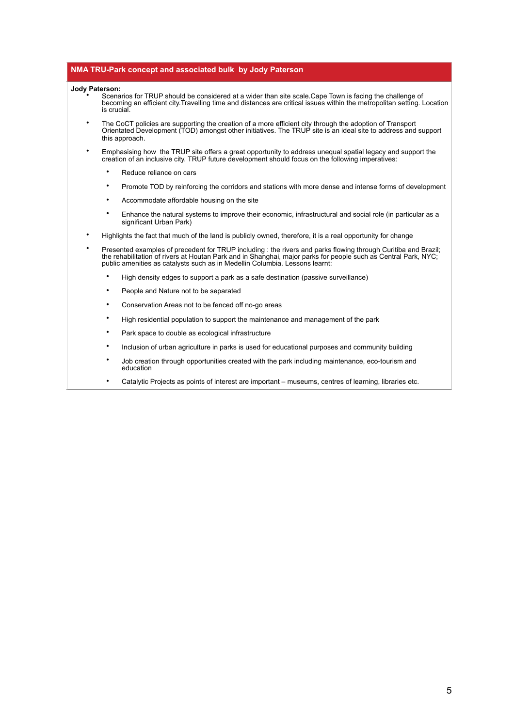#### **NMA TRU-Park concept and associated bulk by Jody Paterson**

- **Jody Paterson:** Scenarios for TRUP should be considered at a wider than site scale.Cape Town is facing the challenge of becoming an efficient city.Travelling time and distances are critical issues within the metropolitan setting. Location is crucial.
	- The CoCT policies are supporting the creation of a more efficient city through the adoption of Transport Orientated Development (TOD) amongst other initiatives. The TRUP site is an ideal site to address and support this approach.
	- Emphasising how the TRUP site offers a great opportunity to address unequal spatial legacy and support the creation of an inclusive city. TRUP future development should focus on the following imperatives:
		- Reduce reliance on cars
		- Promote TOD by reinforcing the corridors and stations with more dense and intense forms of development
		- Accommodate affordable housing on the site
		- Enhance the natural systems to improve their economic, infrastructural and social role (in particular as a significant Urban Park)
	- Highlights the fact that much of the land is publicly owned, therefore, it is a real opportunity for change
	- Presented examples of precedent for TRUP including : the rivers and parks flowing through Curitiba and Brazil; the rehabilitation of rivers at Houtan Park and in Shanghai, major parks for people such as Central Park, NYC; public amenities as catalysts such as in Medellin Columbia. Lessons learnt:
		- High density edges to support a park as a safe destination (passive surveillance)
		- People and Nature not to be separated
		- Conservation Areas not to be fenced off no-go areas
		- High residential population to support the maintenance and management of the park
		- Park space to double as ecological infrastructure
		- Inclusion of urban agriculture in parks is used for educational purposes and community building
		- Job creation through opportunities created with the park including maintenance, eco-tourism and education
		- Catalytic Projects as points of interest are important museums, centres of learning, libraries etc.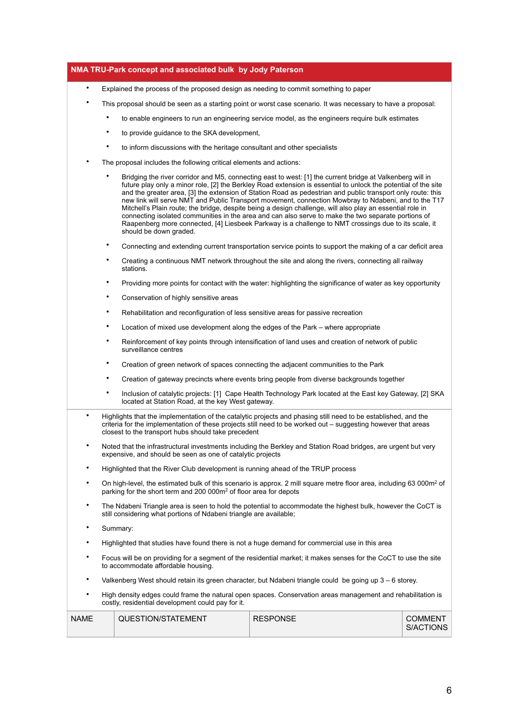|             |                                                                                                                                                        | NMA TRU-Park concept and associated bulk by Jody Paterson                            |                                                                                                                                                                                                                                                                                                                                                                                                                                                                                                                                                                                                                                                                                                                                                                                |                             |
|-------------|--------------------------------------------------------------------------------------------------------------------------------------------------------|--------------------------------------------------------------------------------------|--------------------------------------------------------------------------------------------------------------------------------------------------------------------------------------------------------------------------------------------------------------------------------------------------------------------------------------------------------------------------------------------------------------------------------------------------------------------------------------------------------------------------------------------------------------------------------------------------------------------------------------------------------------------------------------------------------------------------------------------------------------------------------|-----------------------------|
| $\bullet$   |                                                                                                                                                        | Explained the process of the proposed design as needing to commit something to paper |                                                                                                                                                                                                                                                                                                                                                                                                                                                                                                                                                                                                                                                                                                                                                                                |                             |
| ٠           |                                                                                                                                                        |                                                                                      | This proposal should be seen as a starting point or worst case scenario. It was necessary to have a proposal:                                                                                                                                                                                                                                                                                                                                                                                                                                                                                                                                                                                                                                                                  |                             |
|             | ٠                                                                                                                                                      |                                                                                      | to enable engineers to run an engineering service model, as the engineers require bulk estimates                                                                                                                                                                                                                                                                                                                                                                                                                                                                                                                                                                                                                                                                               |                             |
|             | ٠                                                                                                                                                      | to provide guidance to the SKA development,                                          |                                                                                                                                                                                                                                                                                                                                                                                                                                                                                                                                                                                                                                                                                                                                                                                |                             |
|             | $\bullet$                                                                                                                                              | to inform discussions with the heritage consultant and other specialists             |                                                                                                                                                                                                                                                                                                                                                                                                                                                                                                                                                                                                                                                                                                                                                                                |                             |
|             | The proposal includes the following critical elements and actions:                                                                                     |                                                                                      |                                                                                                                                                                                                                                                                                                                                                                                                                                                                                                                                                                                                                                                                                                                                                                                |                             |
|             | ٠                                                                                                                                                      | should be down graded.                                                               | Bridging the river corridor and M5, connecting east to west: [1] the current bridge at Valkenberg will in<br>future play only a minor role, [2] the Berkley Road extension is essential to unlock the potential of the site<br>and the greater area, [3] the extension of Station Road as pedestrian and public transport only route: this<br>new link will serve NMT and Public Transport movement, connection Mowbray to Ndabeni, and to the T17<br>Mitchell's Plain route; the bridge, despite being a design challenge, will also play an essential role in<br>connecting isolated communities in the area and can also serve to make the two separate portions of<br>Raapenberg more connected, [4] Liesbeek Parkway is a challenge to NMT crossings due to its scale, it |                             |
|             | $\bullet$                                                                                                                                              |                                                                                      | Connecting and extending current transportation service points to support the making of a car deficit area                                                                                                                                                                                                                                                                                                                                                                                                                                                                                                                                                                                                                                                                     |                             |
|             | ٠                                                                                                                                                      | stations.                                                                            | Creating a continuous NMT network throughout the site and along the rivers, connecting all railway                                                                                                                                                                                                                                                                                                                                                                                                                                                                                                                                                                                                                                                                             |                             |
|             | $\bullet$                                                                                                                                              |                                                                                      | Providing more points for contact with the water: highlighting the significance of water as key opportunity                                                                                                                                                                                                                                                                                                                                                                                                                                                                                                                                                                                                                                                                    |                             |
|             | $\bullet$                                                                                                                                              | Conservation of highly sensitive areas                                               |                                                                                                                                                                                                                                                                                                                                                                                                                                                                                                                                                                                                                                                                                                                                                                                |                             |
|             | $\bullet$                                                                                                                                              | Rehabilitation and reconfiguration of less sensitive areas for passive recreation    |                                                                                                                                                                                                                                                                                                                                                                                                                                                                                                                                                                                                                                                                                                                                                                                |                             |
|             | ٠<br>Location of mixed use development along the edges of the Park – where appropriate                                                                 |                                                                                      |                                                                                                                                                                                                                                                                                                                                                                                                                                                                                                                                                                                                                                                                                                                                                                                |                             |
|             | $\bullet$<br>Reinforcement of key points through intensification of land uses and creation of network of public<br>surveillance centres                |                                                                                      |                                                                                                                                                                                                                                                                                                                                                                                                                                                                                                                                                                                                                                                                                                                                                                                |                             |
|             | ٠<br>Creation of green network of spaces connecting the adjacent communities to the Park                                                               |                                                                                      |                                                                                                                                                                                                                                                                                                                                                                                                                                                                                                                                                                                                                                                                                                                                                                                |                             |
|             | ٠                                                                                                                                                      |                                                                                      | Creation of gateway precincts where events bring people from diverse backgrounds together                                                                                                                                                                                                                                                                                                                                                                                                                                                                                                                                                                                                                                                                                      |                             |
|             | $\bullet$                                                                                                                                              | located at Station Road, at the key West gateway.                                    | Inclusion of catalytic projects: [1] Cape Health Technology Park located at the East key Gateway, [2] SKA                                                                                                                                                                                                                                                                                                                                                                                                                                                                                                                                                                                                                                                                      |                             |
|             |                                                                                                                                                        | closest to the transport hubs should take precedent                                  | Highlights that the implementation of the catalytic projects and phasing still need to be established, and the<br>criteria for the implementation of these projects still need to be worked out – suggesting however that areas                                                                                                                                                                                                                                                                                                                                                                                                                                                                                                                                                |                             |
| ٠           |                                                                                                                                                        | expensive, and should be seen as one of catalytic projects                           | Noted that the infrastructural investments including the Berkley and Station Road bridges, are urgent but very                                                                                                                                                                                                                                                                                                                                                                                                                                                                                                                                                                                                                                                                 |                             |
| ٠           |                                                                                                                                                        | Highlighted that the River Club development is running ahead of the TRUP process     |                                                                                                                                                                                                                                                                                                                                                                                                                                                                                                                                                                                                                                                                                                                                                                                |                             |
| $\bullet$   |                                                                                                                                                        | parking for the short term and 200 000m <sup>2</sup> of floor area for depots        | On high-level, the estimated bulk of this scenario is approx. 2 mill square metre floor area, including 63 000m <sup>2</sup> of                                                                                                                                                                                                                                                                                                                                                                                                                                                                                                                                                                                                                                                |                             |
| ٠           |                                                                                                                                                        | still considering what portions of Ndabeni triangle are available;                   | The Ndabeni Triangle area is seen to hold the potential to accommodate the highest bulk, however the CoCT is                                                                                                                                                                                                                                                                                                                                                                                                                                                                                                                                                                                                                                                                   |                             |
| ٠           | Summary:                                                                                                                                               |                                                                                      |                                                                                                                                                                                                                                                                                                                                                                                                                                                                                                                                                                                                                                                                                                                                                                                |                             |
| ٠           | Highlighted that studies have found there is not a huge demand for commercial use in this area                                                         |                                                                                      |                                                                                                                                                                                                                                                                                                                                                                                                                                                                                                                                                                                                                                                                                                                                                                                |                             |
| ٠           | Focus will be on providing for a segment of the residential market; it makes senses for the CoCT to use the site<br>to accommodate affordable housing. |                                                                                      |                                                                                                                                                                                                                                                                                                                                                                                                                                                                                                                                                                                                                                                                                                                                                                                |                             |
| ٠           |                                                                                                                                                        |                                                                                      | Valkenberg West should retain its green character, but Ndabeni triangle could be going up 3 – 6 storey.                                                                                                                                                                                                                                                                                                                                                                                                                                                                                                                                                                                                                                                                        |                             |
| $\bullet$   |                                                                                                                                                        | costly, residential development could pay for it.                                    | High density edges could frame the natural open spaces. Conservation areas management and rehabilitation is                                                                                                                                                                                                                                                                                                                                                                                                                                                                                                                                                                                                                                                                    |                             |
| <b>NAME</b> |                                                                                                                                                        | QUESTION/STATEMENT                                                                   | <b>RESPONSE</b>                                                                                                                                                                                                                                                                                                                                                                                                                                                                                                                                                                                                                                                                                                                                                                | <b>COMMENT</b><br>S/ACTIONS |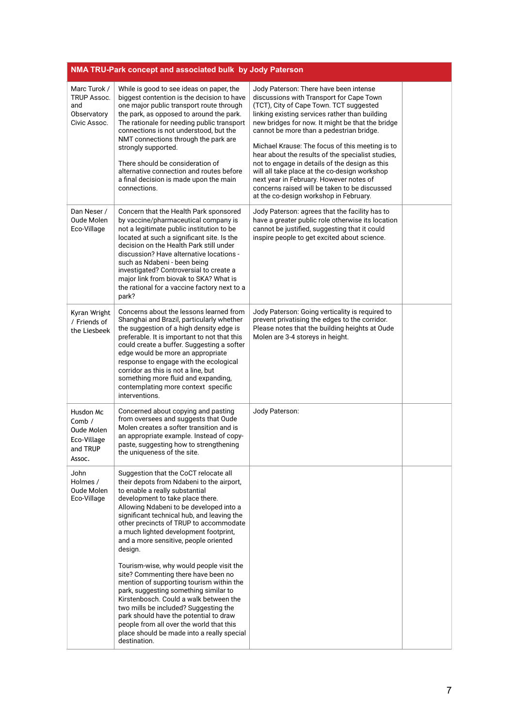|                                                                          | NMA TRU-Park concept and associated bulk by Jody Paterson                                                                                                                                                                                                                                                                                                                                                                                                                       |                                                                                                                                                                                                                                                                                                                                                                                                                                                                                                                                                                                                                                  |  |
|--------------------------------------------------------------------------|---------------------------------------------------------------------------------------------------------------------------------------------------------------------------------------------------------------------------------------------------------------------------------------------------------------------------------------------------------------------------------------------------------------------------------------------------------------------------------|----------------------------------------------------------------------------------------------------------------------------------------------------------------------------------------------------------------------------------------------------------------------------------------------------------------------------------------------------------------------------------------------------------------------------------------------------------------------------------------------------------------------------------------------------------------------------------------------------------------------------------|--|
| Marc Turok /<br><b>TRUP Assoc.</b><br>and<br>Observatory<br>Civic Assoc. | While is good to see ideas on paper, the<br>biggest contention is the decision to have<br>one major public transport route through<br>the park, as opposed to around the park.<br>The rationale for needing public transport<br>connections is not understood, but the<br>NMT connections through the park are<br>strongly supported.<br>There should be consideration of<br>alternative connection and routes before<br>a final decision is made upon the main<br>connections. | Jody Paterson: There have been intense<br>discussions with Transport for Cape Town<br>(TCT), City of Cape Town. TCT suggested<br>linking existing services rather than building<br>new bridges for now. It might be that the bridge<br>cannot be more than a pedestrian bridge.<br>Michael Krause: The focus of this meeting is to<br>hear about the results of the specialist studies,<br>not to engage in details of the design as this<br>will all take place at the co-design workshop<br>next year in February. However notes of<br>concerns raised will be taken to be discussed<br>at the co-design workshop in February. |  |
| Dan Neser /<br>Oude Molen<br>Eco-Village                                 | Concern that the Health Park sponsored<br>by vaccine/pharmaceutical company is<br>not a legitimate public institution to be<br>located at such a significant site. Is the<br>decision on the Health Park still under<br>discussion? Have alternative locations -<br>such as Ndabeni - been being<br>investigated? Controversial to create a<br>major link from biovak to SKA? What is<br>the rational for a vaccine factory next to a<br>park?                                  | Jody Paterson: agrees that the facility has to<br>have a greater public role otherwise its location<br>cannot be justified, suggesting that it could<br>inspire people to get excited about science.                                                                                                                                                                                                                                                                                                                                                                                                                             |  |
| Kyran Wright<br>/ Friends of<br>the Liesbeek                             | Concerns about the lessons learned from<br>Shanghai and Brazil, particularly whether<br>the suggestion of a high density edge is<br>preferable. It is important to not that this<br>could create a buffer. Suggesting a softer<br>edge would be more an appropriate<br>response to engage with the ecological<br>corridor as this is not a line, but<br>something more fluid and expanding,<br>contemplating more context specific<br>interventions.                            | Jody Paterson: Going verticality is required to<br>prevent privatising the edges to the corridor.<br>Please notes that the building heights at Oude<br>Molen are 3-4 storeys in height.                                                                                                                                                                                                                                                                                                                                                                                                                                          |  |
| Husdon Mc<br>Comb $/$<br>Oude Molen<br>Eco-Village<br>and TRUP<br>Assoc. | Concerned about copying and pasting<br>from oversees and suggests that Oude<br>Molen creates a softer transition and is<br>an appropriate example. Instead of copy-<br>paste, suggesting how to strengthening<br>the uniqueness of the site.                                                                                                                                                                                                                                    | Jody Paterson:                                                                                                                                                                                                                                                                                                                                                                                                                                                                                                                                                                                                                   |  |
| John<br>Holmes /<br>Oude Molen<br>Eco-Village                            | Suggestion that the CoCT relocate all<br>their depots from Ndabeni to the airport,<br>to enable a really substantial<br>development to take place there.<br>Allowing Ndabeni to be developed into a<br>significant technical hub, and leaving the<br>other precincts of TRUP to accommodate<br>a much lighted development footprint,<br>and a more sensitive, people oriented<br>design.                                                                                        |                                                                                                                                                                                                                                                                                                                                                                                                                                                                                                                                                                                                                                  |  |
|                                                                          | Tourism-wise, why would people visit the<br>site? Commenting there have been no<br>mention of supporting tourism within the<br>park, suggesting something similar to<br>Kirstenbosch. Could a walk between the<br>two mills be included? Suggesting the<br>park should have the potential to draw<br>people from all over the world that this<br>place should be made into a really special<br>destination.                                                                     |                                                                                                                                                                                                                                                                                                                                                                                                                                                                                                                                                                                                                                  |  |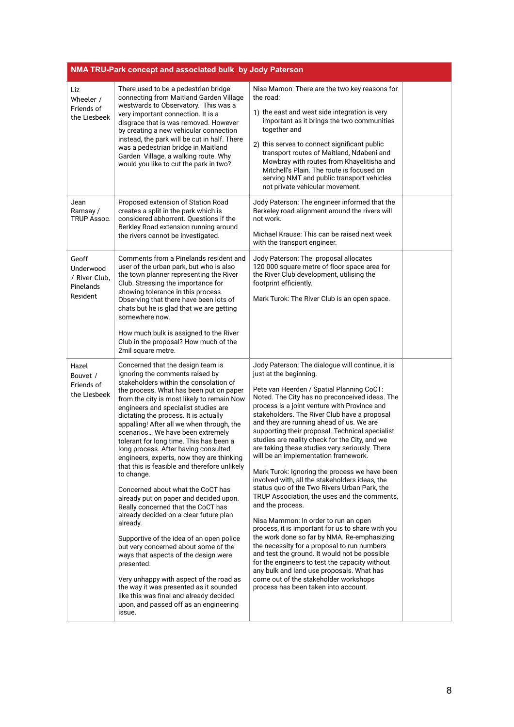|                                                                     | NMA TRU-Park concept and associated bulk by Jody Paterson                                                                                                                                                                                                                                                                                                                                                                                                                                                                                                                                                                                                                                                                                                                                                                                                                                                                                                                                                                                                                        |                                                                                                                                                                                                                                                                                                                                                                                                                                                                                                                                                                                                                                                                                                                                                                                                                                                                                                                                                                                                                                                                                                                                                                         |  |  |
|---------------------------------------------------------------------|----------------------------------------------------------------------------------------------------------------------------------------------------------------------------------------------------------------------------------------------------------------------------------------------------------------------------------------------------------------------------------------------------------------------------------------------------------------------------------------------------------------------------------------------------------------------------------------------------------------------------------------------------------------------------------------------------------------------------------------------------------------------------------------------------------------------------------------------------------------------------------------------------------------------------------------------------------------------------------------------------------------------------------------------------------------------------------|-------------------------------------------------------------------------------------------------------------------------------------------------------------------------------------------------------------------------------------------------------------------------------------------------------------------------------------------------------------------------------------------------------------------------------------------------------------------------------------------------------------------------------------------------------------------------------------------------------------------------------------------------------------------------------------------------------------------------------------------------------------------------------------------------------------------------------------------------------------------------------------------------------------------------------------------------------------------------------------------------------------------------------------------------------------------------------------------------------------------------------------------------------------------------|--|--|
| Liz<br>Wheeler /<br>Friends of<br>the Liesbeek                      | There used to be a pedestrian bridge<br>connecting from Maitland Garden Village<br>westwards to Observatory. This was a<br>very important connection. It is a<br>disgrace that is was removed. However<br>by creating a new vehicular connection<br>instead, the park will be cut in half. There<br>was a pedestrian bridge in Maitland<br>Garden Village, a walking route. Why<br>would you like to cut the park in two?                                                                                                                                                                                                                                                                                                                                                                                                                                                                                                                                                                                                                                                        | Nisa Mamon: There are the two key reasons for<br>the road:<br>1) the east and west side integration is very<br>important as it brings the two communities<br>together and<br>2) this serves to connect significant public<br>transport routes of Maitland, Ndabeni and<br>Mowbray with routes from Khayelitisha and<br>Mitchell's Plain. The route is focused on<br>serving NMT and public transport vehicles<br>not private vehicular movement.                                                                                                                                                                                                                                                                                                                                                                                                                                                                                                                                                                                                                                                                                                                        |  |  |
| Jean<br>Ramsay /<br><b>TRUP Assoc.</b>                              | Proposed extension of Station Road<br>creates a split in the park which is<br>considered abhorrent. Questions if the<br>Berkley Road extension running around<br>the rivers cannot be investigated.                                                                                                                                                                                                                                                                                                                                                                                                                                                                                                                                                                                                                                                                                                                                                                                                                                                                              | Jody Paterson: The engineer informed that the<br>Berkeley road alignment around the rivers will<br>not work.<br>Michael Krause: This can be raised next week<br>with the transport engineer.                                                                                                                                                                                                                                                                                                                                                                                                                                                                                                                                                                                                                                                                                                                                                                                                                                                                                                                                                                            |  |  |
| Geoff<br>Underwood<br>/ River Club,<br><b>Pinelands</b><br>Resident | Comments from a Pinelands resident and<br>user of the urban park, but who is also<br>the town planner representing the River<br>Club. Stressing the importance for<br>showing tolerance in this process.<br>Observing that there have been lots of<br>chats but he is glad that we are getting<br>somewhere now.<br>How much bulk is assigned to the River<br>Club in the proposal? How much of the<br>2mil square metre.                                                                                                                                                                                                                                                                                                                                                                                                                                                                                                                                                                                                                                                        | Jody Paterson: The proposal allocates<br>120 000 square metre of floor space area for<br>the River Club development, utilising the<br>footprint efficiently.<br>Mark Turok: The River Club is an open space.                                                                                                                                                                                                                                                                                                                                                                                                                                                                                                                                                                                                                                                                                                                                                                                                                                                                                                                                                            |  |  |
| Hazel<br>Bouvet /<br>Friends of<br>the Liesbeek                     | Concerned that the design team is<br>ignoring the comments raised by<br>stakeholders within the consolation of<br>the process. What has been put on paper<br>from the city is most likely to remain Now<br>engineers and specialist studies are<br>dictating the process. It is actually<br>appalling! After all we when through, the<br>scenarios We have been extremely<br>tolerant for long time. This has been a<br>long process. After having consulted<br>engineers, experts, now they are thinking<br>that this is feasible and therefore unlikely<br>to change.<br>Concerned about what the CoCT has<br>already put on paper and decided upon.<br>Really concerned that the CoCT has<br>already decided on a clear future plan<br>already.<br>Supportive of the idea of an open police<br>but very concerned about some of the<br>ways that aspects of the design were<br>presented.<br>Very unhappy with aspect of the road as<br>the way it was presented as it sounded<br>like this was final and already decided<br>upon, and passed off as an engineering<br>issue. | Jody Paterson: The dialogue will continue, it is<br>just at the beginning.<br>Pete van Heerden / Spatial Planning CoCT:<br>Noted. The City has no preconceived ideas. The<br>process is a joint venture with Province and<br>stakeholders. The River Club have a proposal<br>and they are running ahead of us. We are<br>supporting their proposal. Technical specialist<br>studies are reality check for the City, and we<br>are taking these studies very seriously. There<br>will be an implementation framework.<br>Mark Turok: Ignoring the process we have been<br>involved with, all the stakeholders ideas, the<br>status quo of the Two Rivers Urban Park, the<br>TRUP Association, the uses and the comments,<br>and the process.<br>Nisa Mammon: In order to run an open<br>process, it is important for us to share with you<br>the work done so far by NMA. Re-emphasizing<br>the necessity for a proposal to run numbers<br>and test the ground. It would not be possible<br>for the engineers to test the capacity without<br>any bulk and land use proposals. What has<br>come out of the stakeholder workshops<br>process has been taken into account. |  |  |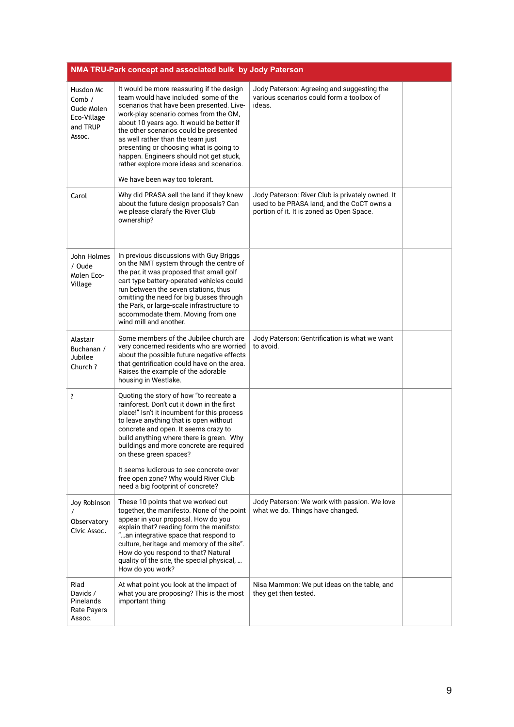|                                                                          | NMA TRU-Park concept and associated bulk by Jody Paterson                                                                                                                                                                                                                                                                                                                                                                                                               |                                                                                                                                             |  |
|--------------------------------------------------------------------------|-------------------------------------------------------------------------------------------------------------------------------------------------------------------------------------------------------------------------------------------------------------------------------------------------------------------------------------------------------------------------------------------------------------------------------------------------------------------------|---------------------------------------------------------------------------------------------------------------------------------------------|--|
| Husdon Mc<br>Comb $/$<br>Oude Molen<br>Eco-Village<br>and TRUP<br>Assoc. | It would be more reassuring if the design<br>team would have included some of the<br>scenarios that have been presented. Live-<br>work-play scenario comes from the OM,<br>about 10 years ago. It would be better if<br>the other scenarios could be presented<br>as well rather than the team just<br>presenting or choosing what is going to<br>happen. Engineers should not get stuck,<br>rather explore more ideas and scenarios.<br>We have been way too tolerant. | Jody Paterson: Agreeing and suggesting the<br>various scenarios could form a toolbox of<br>ideas.                                           |  |
| Carol                                                                    | Why did PRASA sell the land if they knew<br>about the future design proposals? Can<br>we please clarafy the River Club<br>ownership?                                                                                                                                                                                                                                                                                                                                    | Jody Paterson: River Club is privately owned. It<br>used to be PRASA land, and the CoCT owns a<br>portion of it. It is zoned as Open Space. |  |
| John Holmes<br>/ Oude<br>Molen Eco-<br>Village                           | In previous discussions with Guy Briggs<br>on the NMT system through the centre of<br>the par, it was proposed that small golf<br>cart type battery-operated vehicles could<br>run between the seven stations, thus<br>omitting the need for big busses through<br>the Park, or large-scale infrastructure to<br>accommodate them. Moving from one<br>wind mill and another.                                                                                            |                                                                                                                                             |  |
| Alastair<br>Buchanan /<br>Jubilee<br>Church ?                            | Some members of the Jubilee church are<br>very concerned residents who are worried<br>about the possible future negative effects<br>that gentrification could have on the area.<br>Raises the example of the adorable<br>housing in Westlake.                                                                                                                                                                                                                           | Jody Paterson: Gentrification is what we want<br>to avoid.                                                                                  |  |
| ?                                                                        | Quoting the story of how "to recreate a<br>rainforest. Don't cut it down in the first<br>place!" Isn't it incumbent for this process<br>to leave anything that is open without<br>concrete and open. It seems crazy to<br>build anything where there is green. Why<br>buildings and more concrete are required<br>on these green spaces?<br>It seems ludicrous to see concrete over<br>free open zone? Why would River Club<br>need a big footprint of concrete?        |                                                                                                                                             |  |
| Joy Robinson<br>Observatory<br>Civic Assoc.                              | These 10 points that we worked out<br>together, the manifesto. None of the point<br>appear in your proposal. How do you<br>explain that? reading form the manifsto:<br>" an integrative space that respond to<br>culture, heritage and memory of the site".<br>How do you respond to that? Natural<br>quality of the site, the special physical,<br>How do you work?                                                                                                    | Jody Paterson: We work with passion. We love<br>what we do. Things have changed.                                                            |  |
| Riad<br>Davids /<br>Pinelands<br><b>Rate Payers</b><br>Assoc.            | At what point you look at the impact of<br>what you are proposing? This is the most<br>important thing                                                                                                                                                                                                                                                                                                                                                                  | Nisa Mammon: We put ideas on the table, and<br>they get then tested.                                                                        |  |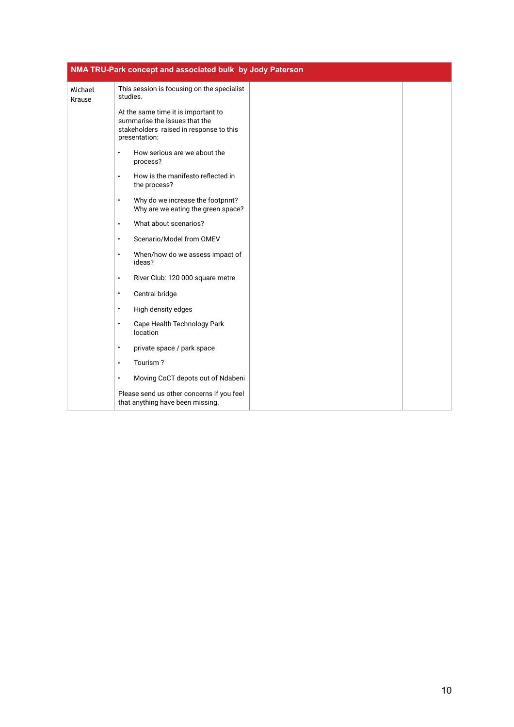|                   | NMA TRU-Park concept and associated bulk by Jody Paterson                                                                        |  |
|-------------------|----------------------------------------------------------------------------------------------------------------------------------|--|
| Michael<br>Krause | This session is focusing on the specialist<br>studies.                                                                           |  |
|                   | At the same time it is important to<br>summarise the issues that the<br>stakeholders raised in response to this<br>presentation: |  |
|                   | How serious are we about the<br>$\bullet$<br>process?                                                                            |  |
|                   | How is the manifesto reflected in<br>$\bullet$<br>the process?                                                                   |  |
|                   | Why do we increase the footprint?<br>$\bullet$<br>Why are we eating the green space?                                             |  |
|                   | What about scenarios?<br>$\bullet$                                                                                               |  |
|                   | Scenario/Model from OMEV<br>$\bullet$                                                                                            |  |
|                   | When/how do we assess impact of<br>$\bullet$<br>ideas?                                                                           |  |
|                   | River Club: 120 000 square metre<br>$\bullet$                                                                                    |  |
|                   | Central bridge<br>$\bullet$                                                                                                      |  |
|                   | High density edges<br>$\bullet$                                                                                                  |  |
|                   | Cape Health Technology Park<br>$\bullet$<br>location                                                                             |  |
|                   | private space / park space<br>$\bullet$                                                                                          |  |
|                   | Tourism?<br>$\bullet$                                                                                                            |  |
|                   | Moving CoCT depots out of Ndabeni<br>$\bullet$                                                                                   |  |
|                   | Please send us other concerns if you feel<br>that anything have been missing.                                                    |  |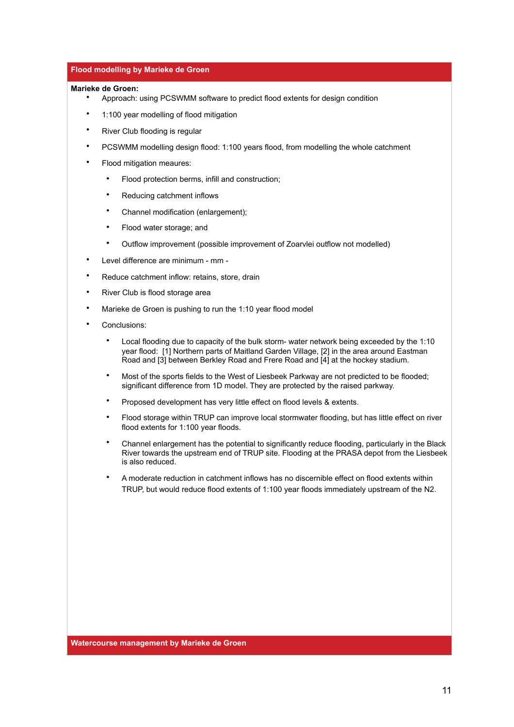### **Flood modelling by Marieke de Groen**

#### **Marieke de Groen:**

- Approach: using PCSWMM software to predict flood extents for design condition
- 1:100 year modelling of flood mitigation
- River Club flooding is regular
- PCSWMM modelling design flood: 1:100 years flood, from modelling the whole catchment
- Flood mitigation meaures:
	- Flood protection berms, infill and construction;
	- Reducing catchment inflows
	- Channel modification (enlargement);
	- Flood water storage; and
	- Outflow improvement (possible improvement of Zoarvlei outflow not modelled)
- Level difference are minimum mm -
- Reduce catchment inflow: retains, store, drain
- River Club is flood storage area
- Marieke de Groen is pushing to run the 1:10 year flood model
- Conclusions:
	- Local flooding due to capacity of the bulk storm- water network being exceeded by the 1:10 year flood: [1] Northern parts of Maitland Garden Village, [2] in the area around Eastman Road and [3] between Berkley Road and Frere Road and [4] at the hockey stadium.
	- Most of the sports fields to the West of Liesbeek Parkway are not predicted to be flooded; significant difference from 1D model. They are protected by the raised parkway.
	- Proposed development has very little effect on flood levels & extents.
	- Flood storage within TRUP can improve local stormwater flooding, but has little effect on river flood extents for 1:100 year floods.
	- Channel enlargement has the potential to significantly reduce flooding, particularly in the Black River towards the upstream end of TRUP site. Flooding at the PRASA depot from the Liesbeek is also reduced.
	- A moderate reduction in catchment inflows has no discernible effect on flood extents within TRUP, but would reduce flood extents of 1:100 year floods immediately upstream of the N2.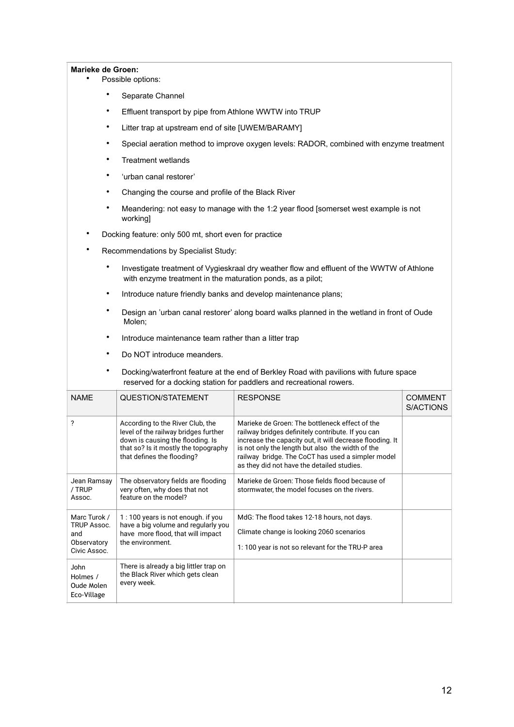#### **Marieke de Groen:**

- Possible options:
	- Separate Channel
	- Effluent transport by pipe from Athlone WWTW into TRUP
	- Litter trap at upstream end of site [UWEM/BARAMY]
	- Special aeration method to improve oxygen levels: RADOR, combined with enzyme treatment
	- Treatment wetlands
	- 'urban canal restorer'
	- Changing the course and profile of the Black River
	- Meandering: not easy to manage with the 1:2 year flood [somerset west example is not working]
- Docking feature: only 500 mt, short even for practice
- Recommendations by Specialist Study:
	- Investigate treatment of Vygieskraal dry weather flow and effluent of the WWTW of Athlone with enzyme treatment in the maturation ponds, as a pilot;
	- Introduce nature friendly banks and develop maintenance plans;
	- Design an 'urban canal restorer' along board walks planned in the wetland in front of Oude Molen;
	- Introduce maintenance team rather than a litter trap
	- Do NOT introduce meanders.
	- Docking/waterfront feature at the end of Berkley Road with pavilions with future space reserved for a docking station for paddlers and recreational rowers.

| <b>NAMF</b>                                                       | QUESTION/STATEMENT                                                                                                                                                                 | <b>RESPONSE</b>                                                                                                                                                                                                                                                                                                        | <b>COMMENT</b><br>S/ACTIONS |
|-------------------------------------------------------------------|------------------------------------------------------------------------------------------------------------------------------------------------------------------------------------|------------------------------------------------------------------------------------------------------------------------------------------------------------------------------------------------------------------------------------------------------------------------------------------------------------------------|-----------------------------|
| ?                                                                 | According to the River Club, the<br>level of the railway bridges further<br>down is causing the flooding. Is<br>that so? Is it mostly the topography<br>that defines the flooding? | Marieke de Groen: The bottleneck effect of the<br>railway bridges definitely contribute. If you can<br>increase the capacity out, it will decrease flooding. It<br>is not only the length but also the width of the<br>railway bridge. The CoCT has used a simpler model<br>as they did not have the detailed studies. |                             |
| Jean Ramsay<br>/ TRUP<br>Assoc.                                   | The observatory fields are flooding<br>very often, why does that not<br>feature on the model?                                                                                      | Marieke de Groen: Those fields flood because of<br>stormwater, the model focuses on the rivers.                                                                                                                                                                                                                        |                             |
| Marc Turok /<br>TRUP Assoc.<br>and<br>Observatory<br>Civic Assoc. | 1:100 years is not enough. if you<br>have a big volume and regularly you<br>have more flood, that will impact<br>the environment.                                                  | MdG: The flood takes 12-18 hours, not days.<br>Climate change is looking 2060 scenarios<br>1:100 year is not so relevant for the TRU-P area                                                                                                                                                                            |                             |
| John<br>Holmes /<br>Oude Molen<br>Eco-Village                     | There is already a big littler trap on<br>the Black River which gets clean<br>every week.                                                                                          |                                                                                                                                                                                                                                                                                                                        |                             |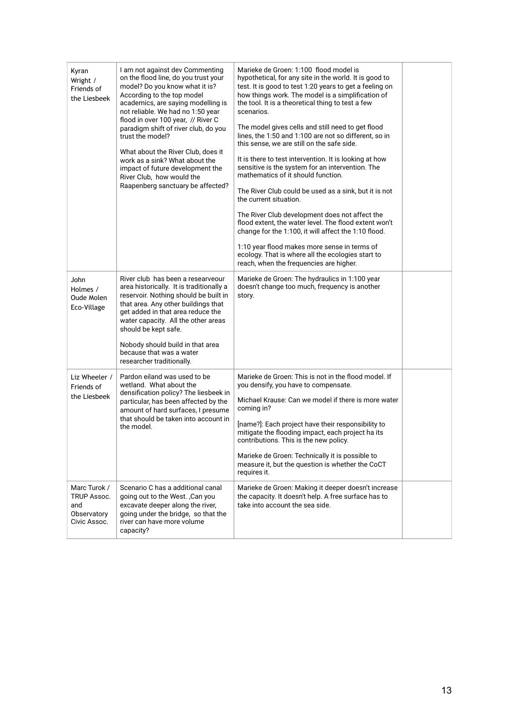| Kyran<br>Wright /<br>Friends of<br>the Liesbeek                          | I am not against dev Commenting<br>on the flood line, do you trust your<br>model? Do you know what it is?<br>According to the top model<br>academics, are saying modelling is<br>not reliable. We had no 1:50 year<br>flood in over 100 year, // River C<br>paradigm shift of river club, do you<br>trust the model?<br>What about the River Club, does it<br>work as a sink? What about the<br>impact of future development the<br>River Club, how would the<br>Raapenberg sanctuary be affected? | Marieke de Groen: 1:100 flood model is<br>hypothetical, for any site in the world. It is good to<br>test. It is good to test 1:20 years to get a feeling on<br>how things work. The model is a simplification of<br>the tool. It is a theoretical thing to test a few<br>scenarios.<br>The model gives cells and still need to get flood<br>lines, the 1:50 and 1:100 are not so different, so in<br>this sense, we are still on the safe side.<br>It is there to test intervention. It is looking at how<br>sensitive is the system for an intervention. The<br>mathematics of it should function.<br>The River Club could be used as a sink, but it is not<br>the current situation.<br>The River Club development does not affect the<br>flood extent, the water level. The flood extent won't<br>change for the 1:100, it will affect the 1:10 flood.<br>1:10 year flood makes more sense in terms of<br>ecology. That is where all the ecologies start to<br>reach, when the frequencies are higher. |  |
|--------------------------------------------------------------------------|----------------------------------------------------------------------------------------------------------------------------------------------------------------------------------------------------------------------------------------------------------------------------------------------------------------------------------------------------------------------------------------------------------------------------------------------------------------------------------------------------|-----------------------------------------------------------------------------------------------------------------------------------------------------------------------------------------------------------------------------------------------------------------------------------------------------------------------------------------------------------------------------------------------------------------------------------------------------------------------------------------------------------------------------------------------------------------------------------------------------------------------------------------------------------------------------------------------------------------------------------------------------------------------------------------------------------------------------------------------------------------------------------------------------------------------------------------------------------------------------------------------------------|--|
| John<br>Holmes /<br>Oude Molen<br>Eco-Village                            | River club has been a researveour<br>area historically. It is traditionally a<br>reservoir. Nothing should be built in<br>that area. Any other buildings that<br>get added in that area reduce the<br>water capacity. All the other areas<br>should be kept safe.<br>Nobody should build in that area<br>because that was a water<br>researcher traditionally.                                                                                                                                     | Marieke de Groen: The hydraulics in 1:100 year<br>doesn't change too much, frequency is another<br>story.                                                                                                                                                                                                                                                                                                                                                                                                                                                                                                                                                                                                                                                                                                                                                                                                                                                                                                 |  |
| Liz Wheeler /<br>Friends of<br>the Liesbeek                              | Pardon eiland was used to be<br>wetland. What about the<br>densification policy? The liesbeek in<br>particular, has been affected by the<br>amount of hard surfaces, I presume<br>that should be taken into account in<br>the model.                                                                                                                                                                                                                                                               | Marieke de Groen: This is not in the flood model. If<br>you densify, you have to compensate.<br>Michael Krause: Can we model if there is more water<br>coming in?<br>[name?]: Each project have their responsibility to<br>mitigate the flooding impact, each project ha its<br>contributions. This is the new policy.<br>Marieke de Groen: Technically it is possible to<br>measure it, but the question is whether the CoCT<br>requires it.                                                                                                                                                                                                                                                                                                                                                                                                                                                                                                                                                             |  |
| Marc Turok /<br><b>TRUP Assoc.</b><br>and<br>Observatory<br>Civic Assoc. | Scenario C has a additional canal<br>going out to the West. , Can you<br>excavate deeper along the river,<br>going under the bridge, so that the<br>river can have more volume<br>capacity?                                                                                                                                                                                                                                                                                                        | Marieke de Groen: Making it deeper doesn't increase<br>the capacity. It doesn't help. A free surface has to<br>take into account the sea side.                                                                                                                                                                                                                                                                                                                                                                                                                                                                                                                                                                                                                                                                                                                                                                                                                                                            |  |